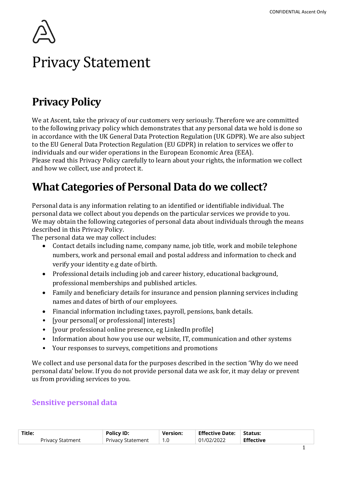# Privacy Statement

# Privacy Policy

We at Ascent, take the privacy of our customers very seriously. Therefore we are committed to the following privacy policy which demonstrates that any personal data we hold is done so in accordance with the UK General Data Protection Regulation (UK GDPR). We are also subject to the EU General Data Protection Regulation (EU GDPR) in relation to services we offer to individuals and our wider operations in the European Economic Area (EEA).

Please read this Privacy Policy carefully to learn about your rights, the information we collect and how we collect, use and protect it.

# What Categories of Personal Data do we collect?

Personal data is any information relating to an identified or identifiable individual. The personal data we collect about you depends on the particular services we provide to you. We may obtain the following categories of personal data about individuals through the means described in this Privacy Policy.

The personal data we may collect includes:

- Contact details including name, company name, job title, work and mobile telephone numbers, work and personal email and postal address and information to check and verify your identity e.g date of birth.
- Professional details including job and career history, educational background, professional memberships and published articles.
- Family and beneficiary details for insurance and pension planning services including names and dates of birth of our employees.
- Financial information including taxes, payroll, pensions, bank details.
- [your personal] or professional] interests]
- [your professional online presence, eg LinkedIn profile]
- Information about how you use our website, IT, communication and other systems
- Your responses to surveys, competitions and promotions

We collect and use personal data for the purposes described in the section 'Why do we need personal data' below. If you do not provide personal data we ask for, it may delay or prevent us from providing services to you.

#### Sensitive personal data

| Title:                  | <b>Policy ID:</b> | <b>Version:</b> | $\perp$ Effective Date: $\perp$ Status: |                  |
|-------------------------|-------------------|-----------------|-----------------------------------------|------------------|
| <b>Privacy Statment</b> | Privacy Statement |                 | 01/02/2022                              | <b>Effective</b> |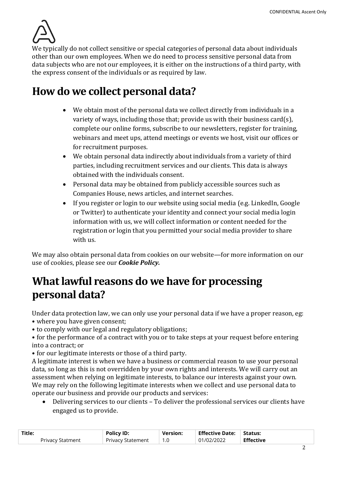

We typically do not collect sensitive or special categories of personal data about individuals other than our own employees. When we do need to process sensitive personal data from data subjects who are not our employees, it is either on the instructions of a third party, with the express consent of the individuals or as required by law.

### How do we collect personal data?

- We obtain most of the personal data we collect directly from individuals in a variety of ways, including those that; provide us with their business card(s), complete our online forms, subscribe to our newsletters, register for training, webinars and meet ups, attend meetings or events we host, visit our offices or for recruitment purposes.
- We obtain personal data indirectly about individuals from a variety of third parties, including recruitment services and our clients. This data is always obtained with the individuals consent.
- Personal data may be obtained from publicly accessible sources such as Companies House, news articles, and internet searches.
- If you register or login to our website using social media (e.g. LinkedIn, Google or Twitter) to authenticate your identity and connect your social media login information with us, we will collect information or content needed for the registration or login that you permitted your social media provider to share with us.

We may also obtain personal data from cookies on our website—for more information on our use of cookies, please see our Cookie Policy.

### What lawful reasons do we have for processing personal data?

Under data protection law, we can only use your personal data if we have a proper reason, eg:

- where you have given consent;
- to comply with our legal and regulatory obligations;

• for the performance of a contract with you or to take steps at your request before entering into a contract; or

• for our legitimate interests or those of a third party.

A legitimate interest is when we have a business or commercial reason to use your personal data, so long as this is not overridden by your own rights and interests. We will carry out an assessment when relying on legitimate interests, to balance our interests against your own. We may rely on the following legitimate interests when we collect and use personal data to operate our business and provide our products and services:

 Delivering services to our clients – To deliver the professional services our clients have engaged us to provide.

| Title:           | <b>Policy ID:</b> | <b>Version:</b> | Effective Date: Status: |                  |  |
|------------------|-------------------|-----------------|-------------------------|------------------|--|
| Privacy Statment | Privacy Statement | 1.0             | 01/02/2022              | <b>Effective</b> |  |
|                  |                   |                 |                         |                  |  |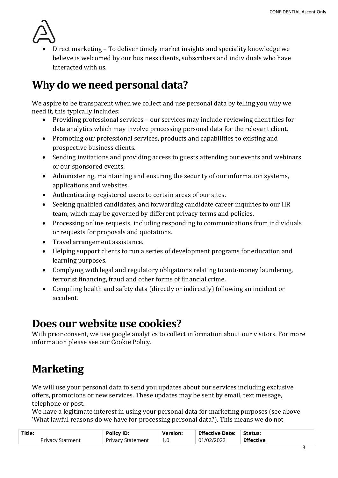

 Direct marketing – To deliver timely market insights and speciality knowledge we believe is welcomed by our business clients, subscribers and individuals who have interacted with us.

# Why do we need personal data?

We aspire to be transparent when we collect and use personal data by telling you why we need it, this typically includes:

- Providing professional services our services may include reviewing client files for data analytics which may involve processing personal data for the relevant client.
- Promoting our professional services, products and capabilities to existing and prospective business clients.
- Sending invitations and providing access to guests attending our events and webinars or our sponsored events.
- Administering, maintaining and ensuring the security of our information systems, applications and websites.
- Authenticating registered users to certain areas of our sites.
- Seeking qualified candidates, and forwarding candidate career inquiries to our HR team, which may be governed by different privacy terms and policies.
- Processing online requests, including responding to communications from individuals or requests for proposals and quotations.
- Travel arrangement assistance.
- Helping support clients to run a series of development programs for education and learning purposes.
- Complying with legal and regulatory obligations relating to anti-money laundering, terrorist financing, fraud and other forms of financial crime.
- Compiling health and safety data (directly or indirectly) following an incident or accident.

#### Does our website use cookies?

With prior consent, we use google analytics to collect information about our visitors. For more information please see our Cookie Policy.

# **Marketing**

We will use your personal data to send you updates about our services including exclusive offers, promotions or new services. These updates may be sent by email, text message, telephone or post.

We have a legitimate interest in using your personal data for marketing purposes (see above 'What lawful reasons do we have for processing personal data?). This means we do not

| Title:           | <b>Policy ID:</b>   | <b>Version:</b> | <b>Effective Date:</b> | Status:          |  |
|------------------|---------------------|-----------------|------------------------|------------------|--|
| Privacy Statment | ' Privacy Statement | 1.0             | 01/02/2022             | <b>Effective</b> |  |
|                  |                     |                 |                        |                  |  |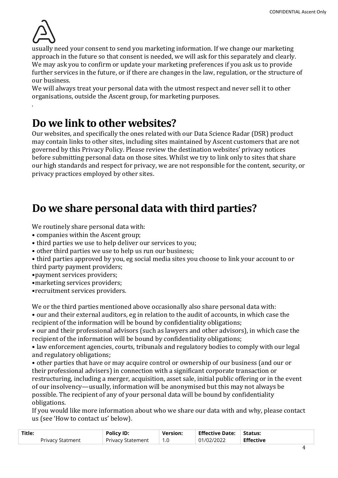

.

usually need your consent to send you marketing information. If we change our marketing approach in the future so that consent is needed, we will ask for this separately and clearly. We may ask you to confirm or update your marketing preferences if you ask us to provide further services in the future, or if there are changes in the law, regulation, or the structure of our business.

We will always treat your personal data with the utmost respect and never sell it to other organisations, outside the Ascent group, for marketing purposes.

#### Do we link to other websites?

Our websites, and specifically the ones related with our Data Science Radar (DSR) product may contain links to other sites, including sites maintained by Ascent customers that are not governed by this Privacy Policy. Please review the destination websites' privacy notices before submitting personal data on those sites. Whilst we try to link only to sites that share our high standards and respect for privacy, we are not responsible for the content, security, or privacy practices employed by other sites.

### Do we share personal data with third parties?

We routinely share personal data with:

- companies within the Ascent group;
- third parties we use to help deliver our services to you;
- other third parties we use to help us run our business;
- third parties approved by you, eg social media sites you choose to link your account to or third party payment providers;
- •payment services providers;
- •marketing services providers;
- •recruitment services providers.

We or the third parties mentioned above occasionally also share personal data with:

• our and their external auditors, eg in relation to the audit of accounts, in which case the recipient of the information will be bound by confidentiality obligations;

• our and their professional advisors (such as lawyers and other advisors), in which case the recipient of the information will be bound by confidentiality obligations;

• law enforcement agencies, courts, tribunals and regulatory bodies to comply with our legal and regulatory obligations;

• other parties that have or may acquire control or ownership of our business (and our or their professional advisers) in connection with a significant corporate transaction or restructuring, including a merger, acquisition, asset sale, initial public offering or in the event of our insolvency—usually, information will be anonymised but this may not always be possible. The recipient of any of your personal data will be bound by confidentiality obligations.

If you would like more information about who we share our data with and why, please contact us (see 'How to contact us' below).

| Title:                  | <b>Policy ID:</b> | <b>Version:</b> | <b>Effective Date: Status:</b> |                  |  |
|-------------------------|-------------------|-----------------|--------------------------------|------------------|--|
| <b>Privacy Statment</b> | Privacy Statement |                 | 01/02/2022                     | <b>Effective</b> |  |
|                         |                   |                 |                                |                  |  |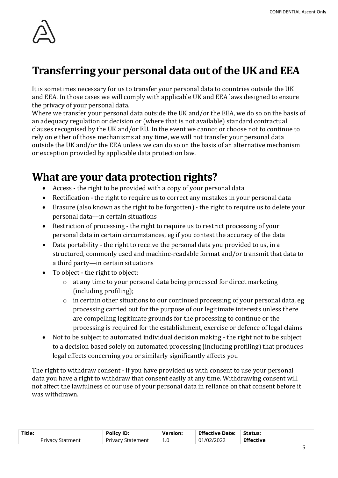

# Transferring your personal data out of the UK and EEA

It is sometimes necessary for us to transfer your personal data to countries outside the UK and EEA. In those cases we will comply with applicable UK and EEA laws designed to ensure the privacy of your personal data.

Where we transfer your personal data outside the UK and/or the EEA, we do so on the basis of an adequacy regulation or decision or (where that is not available) standard contractual clauses recognised by the UK and/or EU. In the event we cannot or choose not to continue to rely on either of those mechanisms at any time, we will not transfer your personal data outside the UK and/or the EEA unless we can do so on the basis of an alternative mechanism or exception provided by applicable data protection law.

#### What are your data protection rights?

- Access the right to be provided with a copy of your personal data
- Rectification the right to require us to correct any mistakes in your personal data
- Erasure (also known as the right to be forgotten) the right to require us to delete your personal data—in certain situations
- Restriction of processing the right to require us to restrict processing of your personal data in certain circumstances, eg if you contest the accuracy of the data
- Data portability the right to receive the personal data you provided to us, in a structured, commonly used and machine-readable format and/or transmit that data to a third party—in certain situations
- To object the right to object:
	- o at any time to your personal data being processed for direct marketing (including profiling);
	- o in certain other situations to our continued processing of your personal data, eg processing carried out for the purpose of our legitimate interests unless there are compelling legitimate grounds for the processing to continue or the processing is required for the establishment, exercise or defence of legal claims
- Not to be subject to automated individual decision making the right not to be subject to a decision based solely on automated processing (including profiling) that produces legal effects concerning you or similarly significantly affects you

The right to withdraw consent - if you have provided us with consent to use your personal data you have a right to withdraw that consent easily at any time. Withdrawing consent will not affect the lawfulness of our use of your personal data in reliance on that consent before it was withdrawn.

| Title:                  | <b>Policy ID:</b>        | <b>Version:</b> | <b>Effective Date:</b> | Status:          |  |
|-------------------------|--------------------------|-----------------|------------------------|------------------|--|
| <b>Privacy Statment</b> | <b>Privacy Statement</b> | 1.0             | 01/02/2022             | <b>Effective</b> |  |
|                         |                          |                 |                        |                  |  |